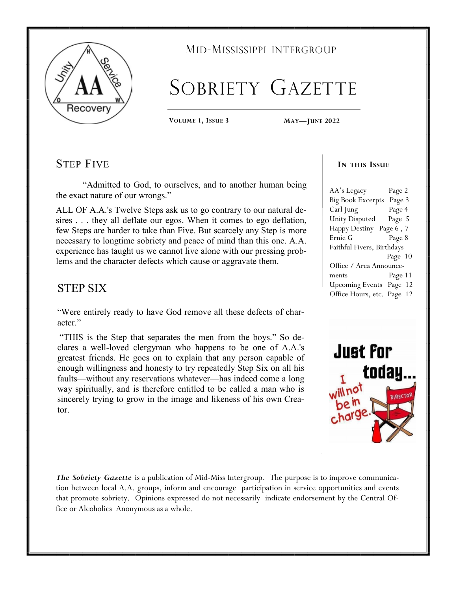

# MID-MISSISSIPPI INTERGROUP

# SOBRIETY GAZETTE

**VOLUME 1, ISSUE 3 MAY—JUNE 2022**

STEP FIVE

"Admitted to God, to ourselves, and to another human being the exact nature of our wrongs."

ALL OF A.A.'s Twelve Steps ask us to go contrary to our natural desires . . . they all deflate our egos. When it comes to ego deflation, few Steps are harder to take than Five. But scarcely any Step is more necessary to longtime sobriety and peace of mind than this one. A.A. experience has taught us we cannot live alone with our pressing problems and the character defects which cause or aggravate them.

# STEP SIX

"Were entirely ready to have God remove all these defects of character."

"THIS is the Step that separates the men from the boys." So declares a well-loved clergyman who happens to be one of A.A.'s greatest friends. He goes on to explain that any person capable of enough willingness and honesty to try repeatedly Step Six on all his faults—without any reservations whatever—has indeed come a long way spiritually, and is therefore entitled to be called a man who is sincerely trying to grow in the image and likeness of his own Creator.

### **IN THIS ISSUE**

AA's Legacy Page 2 Big Book Excerpts Page 3 Carl Jung Page 4 Unity Disputed Page 5 Happy Destiny Page 6 , 7 Ernie G Page 8 Faithful Fivers, Birthdays Page 10 Office / Area Announcements Page 11 Upcoming Events Page 12 Office Hours, etc. Page 12



*The Sobriety Gazette* is a publication of Mid-Miss Intergroup. The purpose is to improve communication between local A.A. groups, inform and encourage participation in service opportunities and events that promote sobriety. Opinions expressed do not necessarily indicate endorsement by the Central Office or Alcoholics Anonymous as a whole.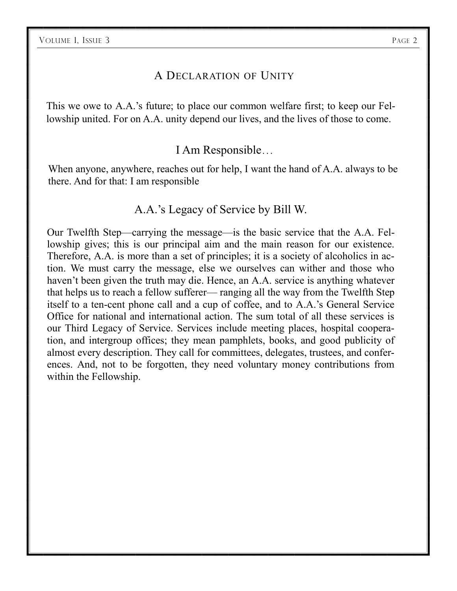### A DECLARATION OF UNITY

This we owe to A.A.'s future; to place our common welfare first; to keep our Fellowship united. For on A.A. unity depend our lives, and the lives of those to come.

# I Am Responsible…

When anyone, anywhere, reaches out for help, I want the hand of A.A. always to be there. And for that: I am responsible

# A.A.'s Legacy of Service by Bill W.

Our Twelfth Step—carrying the message—is the basic service that the A.A. Fellowship gives; this is our principal aim and the main reason for our existence. Therefore, A.A. is more than a set of principles; it is a society of alcoholics in action. We must carry the message, else we ourselves can wither and those who haven't been given the truth may die. Hence, an A.A. service is anything whatever that helps us to reach a fellow sufferer— ranging all the way from the Twelfth Step itself to a ten-cent phone call and a cup of coffee, and to A.A.'s General Service Office for national and international action. The sum total of all these services is our Third Legacy of Service. Services include meeting places, hospital cooperation, and intergroup offices; they mean pamphlets, books, and good publicity of almost every description. They call for committees, delegates, trustees, and conferences. And, not to be forgotten, they need voluntary money contributions from within the Fellowship.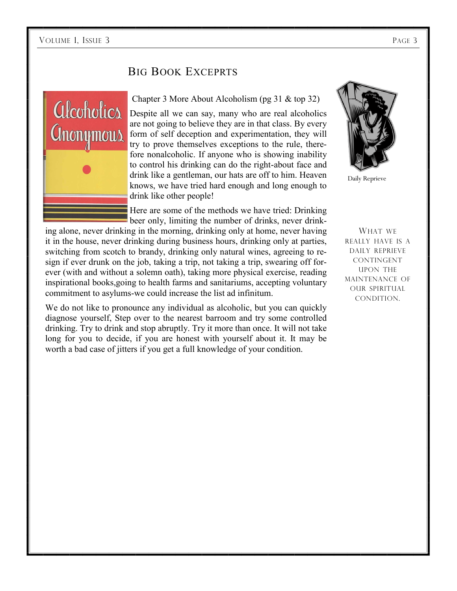### BIG BOOK EXCEPRTS



Chapter 3 More About Alcoholism (pg 31 & top 32)

Despite all we can say, many who are real alcoholics are not going to believe they are in that class. By every form of self deception and experimentation, they will try to prove themselves exceptions to the rule, therefore nonalcoholic. If anyone who is showing inability to control his drinking can do the right-about face and drink like a gentleman, our hats are off to him. Heaven knows, we have tried hard enough and long enough to drink like other people!

Here are some of the methods we have tried: Drinking beer only, limiting the number of drinks, never drink-

ing alone, never drinking in the morning, drinking only at home, never having it in the house, never drinking during business hours, drinking only at parties, switching from scotch to brandy, drinking only natural wines, agreeing to resign if ever drunk on the job, taking a trip, not taking a trip, swearing off forever (with and without a solemn oath), taking more physical exercise, reading inspirational books,going to health farms and sanitariums, accepting voluntary commitment to asylums-we could increase the list ad infinitum.

We do not like to pronounce any individual as alcoholic, but you can quickly diagnose yourself, Step over to the nearest barroom and try some controlled drinking. Try to drink and stop abruptly. Try it more than once. It will not take long for you to decide, if you are honest with yourself about it. It may be worth a bad case of jitters if you get a full knowledge of your condition.



WHAT WE REALLY HAVE IS A DAILY REPRIEVE CONTINGENT UPON THE MAINTENANCE OF OUR SPIRITUAL **CONDITION**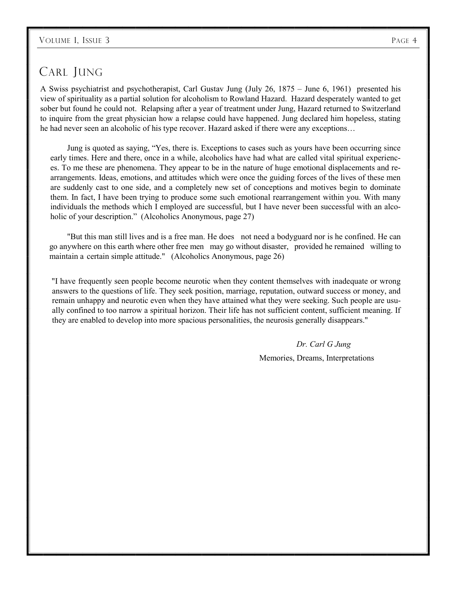#### VOLUME 1, ISSUE 3 PAGE 4

# CARL JUNG

A Swiss psychiatrist and psychotherapist, Carl Gustav Jung (July 26, 1875 – June 6, 1961) presented his view of spirituality as a partial solution for alcoholism to Rowland Hazard. Hazard desperately wanted to get sober but found he could not. Relapsing after a year of treatment under Jung, Hazard returned to Switzerland to inquire from the great physician how a relapse could have happened. Jung declared him hopeless, stating he had never seen an alcoholic of his type recover. Hazard asked if there were any exceptions…

Jung is quoted as saying, "Yes, there is. Exceptions to cases such as yours have been occurring since early times. Here and there, once in a while, alcoholics have had what are called vital spiritual experiences. To me these are phenomena. They appear to be in the nature of huge emotional displacements and rearrangements. Ideas, emotions, and attitudes which were once the guiding forces of the lives of these men are suddenly cast to one side, and a completely new set of conceptions and motives begin to dominate them. In fact, I have been trying to produce some such emotional rearrangement within you. With many individuals the methods which I employed are successful, but I have never been successful with an alcoholic of your description." (Alcoholics Anonymous, page 27)

"But this man still lives and is a free man. He does not need a bodyguard nor is he confined. He can go anywhere on this earth where other free men may go without disaster, provided he remained willing to maintain a certain simple attitude." (Alcoholics Anonymous, page 26)

"I have frequently seen people become neurotic when they content themselves with inadequate or wrong answers to the questions of life. They seek position, marriage, reputation, outward success or money, and remain unhappy and neurotic even when they have attained what they were seeking. Such people are usually confined to too narrow a spiritual horizon. Their life has not sufficient content, sufficient meaning. If they are enabled to develop into more spacious personalities, the neurosis generally disappears."

> *Dr. Carl G Jung*  Memories, Dreams, Interpretations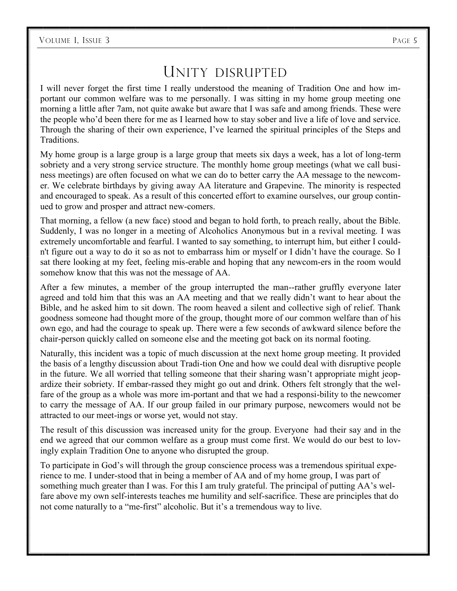I will never forget the first time I really understood the meaning of Tradition One and how important our common welfare was to me personally. I was sitting in my home group meeting one morning a little after 7am, not quite awake but aware that I was safe and among friends. These were the people who'd been there for me as I learned how to stay sober and live a life of love and service. Through the sharing of their own experience, I've learned the spiritual principles of the Steps and Traditions.

My home group is a large group is a large group that meets six days a week, has a lot of long-term sobriety and a very strong service structure. The monthly home group meetings (what we call business meetings) are often focused on what we can do to better carry the AA message to the newcomer. We celebrate birthdays by giving away AA literature and Grapevine. The minority is respected and encouraged to speak. As a result of this concerted effort to examine ourselves, our group continued to grow and prosper and attract new-comers.

That morning, a fellow (a new face) stood and began to hold forth, to preach really, about the Bible. Suddenly, I was no longer in a meeting of Alcoholics Anonymous but in a revival meeting. I was extremely uncomfortable and fearful. I wanted to say something, to interrupt him, but either I couldn't figure out a way to do it so as not to embarrass him or myself or I didn't have the courage. So I sat there looking at my feet, feeling mis-erable and hoping that any newcom-ers in the room would somehow know that this was not the message of AA.

After a few minutes, a member of the group interrupted the man--rather gruffly everyone later agreed and told him that this was an AA meeting and that we really didn't want to hear about the Bible, and he asked him to sit down. The room heaved a silent and collective sigh of relief. Thank goodness someone had thought more of the group, thought more of our common welfare than of his own ego, and had the courage to speak up. There were a few seconds of awkward silence before the chair-person quickly called on someone else and the meeting got back on its normal footing.

Naturally, this incident was a topic of much discussion at the next home group meeting. It provided the basis of a lengthy discussion about Tradi-tion One and how we could deal with disruptive people in the future. We all worried that telling someone that their sharing wasn't appropriate might jeopardize their sobriety. If embar-rassed they might go out and drink. Others felt strongly that the welfare of the group as a whole was more im-portant and that we had a responsi-bility to the newcomer to carry the message of AA. If our group failed in our primary purpose, newcomers would not be attracted to our meet-ings or worse yet, would not stay.

The result of this discussion was increased unity for the group. Everyone had their say and in the end we agreed that our common welfare as a group must come first. We would do our best to lovingly explain Tradition One to anyone who disrupted the group.

To participate in God's will through the group conscience process was a tremendous spiritual experience to me. I under-stood that in being a member of AA and of my home group, I was part of something much greater than I was. For this I am truly grateful. The principal of putting AA's welfare above my own self-interests teaches me humility and self-sacrifice. These are principles that do not come naturally to a "me-first" alcoholic. But it's a tremendous way to live.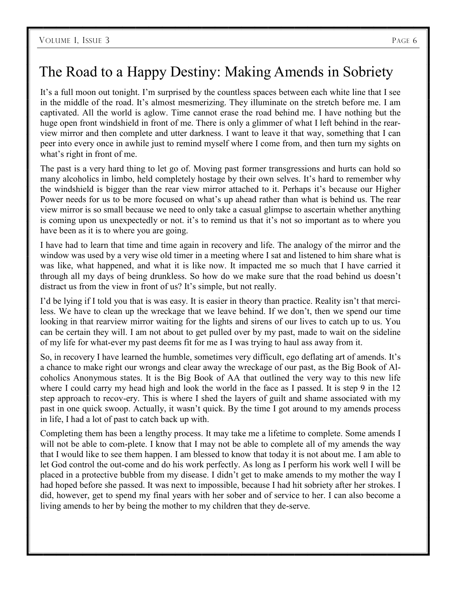# The Road to a Happy Destiny: Making Amends in Sobriety

It's a full moon out tonight. I'm surprised by the countless spaces between each white line that I see in the middle of the road. It's almost mesmerizing. They illuminate on the stretch before me. I am captivated. All the world is aglow. Time cannot erase the road behind me. I have nothing but the huge open front windshield in front of me. There is only a glimmer of what I left behind in the rearview mirror and then complete and utter darkness. I want to leave it that way, something that I can peer into every once in awhile just to remind myself where I come from, and then turn my sights on what's right in front of me.

The past is a very hard thing to let go of. Moving past former transgressions and hurts can hold so many alcoholics in limbo, held completely hostage by their own selves. It's hard to remember why the windshield is bigger than the rear view mirror attached to it. Perhaps it's because our Higher Power needs for us to be more focused on what's up ahead rather than what is behind us. The rear view mirror is so small because we need to only take a casual glimpse to ascertain whether anything is coming upon us unexpectedly or not. it's to remind us that it's not so important as to where you have been as it is to where you are going.

I have had to learn that time and time again in recovery and life. The analogy of the mirror and the window was used by a very wise old timer in a meeting where I sat and listened to him share what is was like, what happened, and what it is like now. It impacted me so much that I have carried it through all my days of being drunkless. So how do we make sure that the road behind us doesn't distract us from the view in front of us? It's simple, but not really.

I'd be lying if I told you that is was easy. It is easier in theory than practice. Reality isn't that merciless. We have to clean up the wreckage that we leave behind. If we don't, then we spend our time looking in that rearview mirror waiting for the lights and sirens of our lives to catch up to us. You can be certain they will. I am not about to get pulled over by my past, made to wait on the sideline of my life for what-ever my past deems fit for me as I was trying to haul ass away from it.

So, in recovery I have learned the humble, sometimes very difficult, ego deflating art of amends. It's a chance to make right our wrongs and clear away the wreckage of our past, as the Big Book of Alcoholics Anonymous states. It is the Big Book of AA that outlined the very way to this new life where I could carry my head high and look the world in the face as I passed. It is step 9 in the 12 step approach to recov-ery. This is where I shed the layers of guilt and shame associated with my past in one quick swoop. Actually, it wasn't quick. By the time I got around to my amends process in life, I had a lot of past to catch back up with.

Completing them has been a lengthy process. It may take me a lifetime to complete. Some amends I will not be able to com-plete. I know that I may not be able to complete all of my amends the way that I would like to see them happen. I am blessed to know that today it is not about me. I am able to let God control the out-come and do his work perfectly. As long as I perform his work well I will be placed in a protective bubble from my disease. I didn't get to make amends to my mother the way I had hoped before she passed. It was next to impossible, because I had hit sobriety after her strokes. I did, however, get to spend my final years with her sober and of service to her. I can also become a living amends to her by being the mother to my children that they de-serve.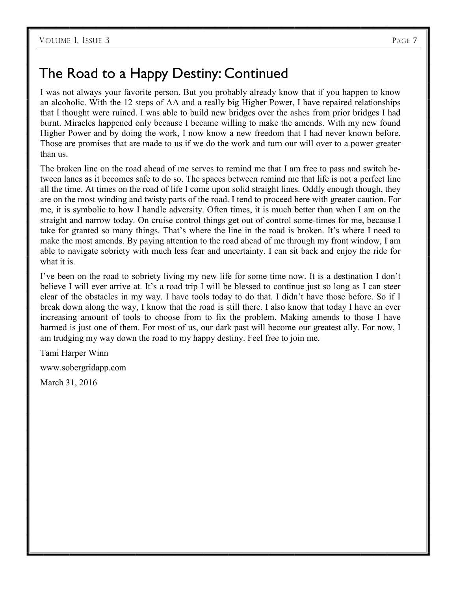# The Road to a Happy Destiny: Continued

I was not always your favorite person. But you probably already know that if you happen to know an alcoholic. With the 12 steps of AA and a really big Higher Power, I have repaired relationships that I thought were ruined. I was able to build new bridges over the ashes from prior bridges I had burnt. Miracles happened only because I became willing to make the amends. With my new found Higher Power and by doing the work, I now know a new freedom that I had never known before. Those are promises that are made to us if we do the work and turn our will over to a power greater than us.

The broken line on the road ahead of me serves to remind me that I am free to pass and switch between lanes as it becomes safe to do so. The spaces between remind me that life is not a perfect line all the time. At times on the road of life I come upon solid straight lines. Oddly enough though, they are on the most winding and twisty parts of the road. I tend to proceed here with greater caution. For me, it is symbolic to how I handle adversity. Often times, it is much better than when I am on the straight and narrow today. On cruise control things get out of control some-times for me, because I take for granted so many things. That's where the line in the road is broken. It's where I need to make the most amends. By paying attention to the road ahead of me through my front window, I am able to navigate sobriety with much less fear and uncertainty. I can sit back and enjoy the ride for what it is.

I've been on the road to sobriety living my new life for some time now. It is a destination I don't believe I will ever arrive at. It's a road trip I will be blessed to continue just so long as I can steer clear of the obstacles in my way. I have tools today to do that. I didn't have those before. So if I break down along the way, I know that the road is still there. I also know that today I have an ever increasing amount of tools to choose from to fix the problem. Making amends to those I have harmed is just one of them. For most of us, our dark past will become our greatest ally. For now, I am trudging my way down the road to my happy destiny. Feel free to join me.

Tami Harper Winn

www.sobergridapp.com

March 31, 2016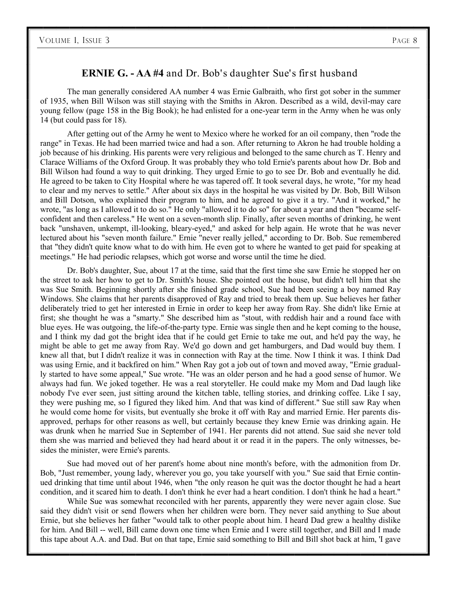### **ERNIE G. - AA #4** and Dr. Bob's daughter Sue's first husband

The man generally considered AA number 4 was Ernie Galbraith, who first got sober in the summer of 1935, when Bill Wilson was still staying with the Smiths in Akron. Described as a wild, devil-may care young fellow (page 158 in the Big Book); he had enlisted for a one-year term in the Army when he was only 14 (but could pass for 18).

After getting out of the Army he went to Mexico where he worked for an oil company, then "rode the range" in Texas. He had been married twice and had a son. After returning to Akron he had trouble holding a job because of his drinking. His parents were very religious and belonged to the same church as T. Henry and Clarace Williams of the Oxford Group. It was probably they who told Ernie's parents about how Dr. Bob and Bill Wilson had found a way to quit drinking. They urged Ernie to go to see Dr. Bob and eventually he did. He agreed to be taken to City Hospital where he was tapered off. It took several days, he wrote, "for my head to clear and my nerves to settle." After about six days in the hospital he was visited by Dr. Bob, Bill Wilson and Bill Dotson, who explained their program to him, and he agreed to give it a try. "And it worked," he wrote, "as long as I allowed it to do so." He only "allowed it to do so" for about a year and then "became selfconfident and then careless." He went on a seven-month slip. Finally, after seven months of drinking, he went back "unshaven, unkempt, ill-looking, bleary-eyed," and asked for help again. He wrote that he was never lectured about his "seven month failure." Ernie "never really jelled," according to Dr. Bob. Sue remembered that "they didn't quite know what to do with him. He even got to where he wanted to get paid for speaking at meetings." He had periodic relapses, which got worse and worse until the time he died.

Dr. Bob's daughter, Sue, about 17 at the time, said that the first time she saw Ernie he stopped her on the street to ask her how to get to Dr. Smith's house. She pointed out the house, but didn't tell him that she was Sue Smith. Beginning shortly after she finished grade school, Sue had been seeing a boy named Ray Windows. She claims that her parents disapproved of Ray and tried to break them up. Sue believes her father deliberately tried to get her interested in Ernie in order to keep her away from Ray. She didn't like Ernie at first; she thought he was a "smarty." She described him as "stout, with reddish hair and a round face with blue eyes. He was outgoing, the life-of-the-party type. Ernie was single then and he kept coming to the house, and I think my dad got the bright idea that if he could get Ernie to take me out, and he'd pay the way, he might be able to get me away from Ray. We'd go down and get hamburgers, and Dad would buy them. I knew all that, but I didn't realize it was in connection with Ray at the time. Now I think it was. I think Dad was using Ernie, and it backfired on him." When Ray got a job out of town and moved away, "Ernie gradually started to have some appeal," Sue wrote. "He was an older person and he had a good sense of humor. We always had fun. We joked together. He was a real storyteller. He could make my Mom and Dad laugh like nobody I've ever seen, just sitting around the kitchen table, telling stories, and drinking coffee. Like I say, they were pushing me, so I figured they liked him. And that was kind of different." Sue still saw Ray when he would come home for visits, but eventually she broke it off with Ray and married Ernie. Her parents disapproved, perhaps for other reasons as well, but certainly because they knew Ernie was drinking again. He was drunk when he married Sue in September of 1941. Her parents did not attend. Sue said she never told them she was married and believed they had heard about it or read it in the papers. The only witnesses, besides the minister, were Ernie's parents.

Sue had moved out of her parent's home about nine month's before, with the admonition from Dr. Bob, "Just remember, young lady, wherever you go, you take yourself with you." Sue said that Ernie continued drinking that time until about 1946, when "the only reason he quit was the doctor thought he had a heart condition, and it scared him to death. I don't think he ever had a heart condition. I don't think he had a heart."

While Sue was somewhat reconciled with her parents, apparently they were never again close. Sue said they didn't visit or send flowers when her children were born. They never said anything to Sue about Ernie, but she believes her father "would talk to other people about him. I heard Dad grew a healthy dislike for him. And Bill -- well, Bill came down one time when Ernie and I were still together, and Bill and I made this tape about A.A. and Dad. But on that tape, Ernie said something to Bill and Bill shot back at him, 'I gave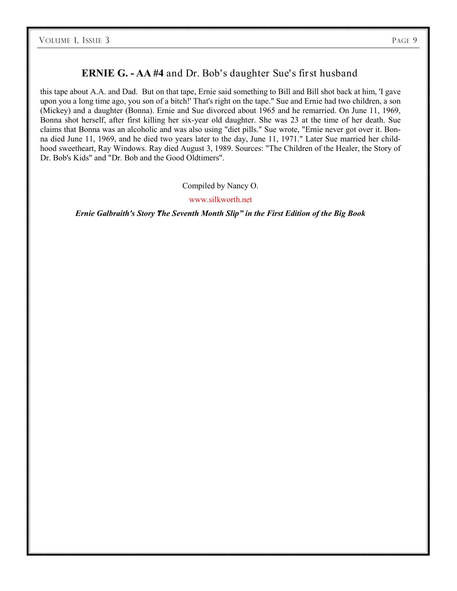### **ERNIE G. - AA #4** and Dr. Bob's daughter Sue's first husband

this tape about A.A. and Dad. But on that tape, Ernie said something to Bill and Bill shot back at him, 'I gave upon you a long time ago, you son of a bitch!' That's right on the tape." Sue and Ernie had two children, a son (Mickey) and a daughter (Bonna). Ernie and Sue divorced about 1965 and he remarried. On June 11, 1969, Bonna shot herself, after first killing her six-year old daughter. She was 23 at the time of her death. Sue claims that Bonna was an alcoholic and was also using "diet pills." Sue wrote, "Ernie never got over it. Bonna died June 11, 1969, and he died two years later to the day, June 11, 1971." Later Sue married her childhood sweetheart, Ray Windows. Ray died August 3, 1989. Sources: "The Children of the Healer, the Story of Dr. Bob's Kids" and "Dr. Bob and the Good Oldtimers".

Compiled by Nancy O.

www.silkworth.net

*Ernie Galbraith's Story "The Seventh Month Slip" in the First Edition of the Big Book*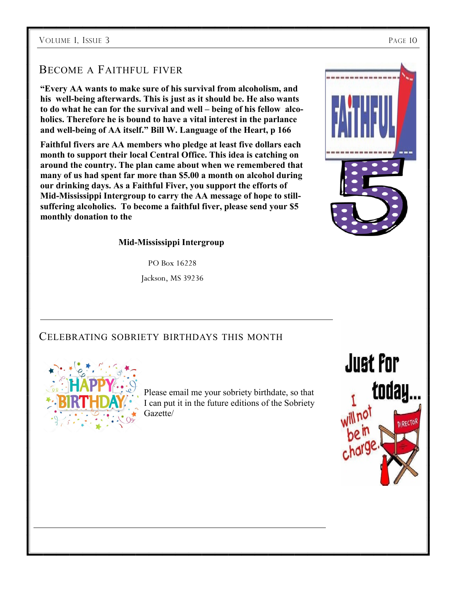#### VOLUME 1, ISSUE 3 PAGE 10

### BECOME A FAITHFUL FIVER

**"Every AA wants to make sure of his survival from alcoholism, and his well-being afterwards. This is just as it should be. He also wants to do what he can for the survival and well – being of his fellow alcoholics. Therefore he is bound to have a vital interest in the parlance and well-being of AA itself." Bill W. Language of the Heart, p 166**

**Faithful fivers are AA members who pledge at least five dollars each month to support their local Central Office. This idea is catching on around the country. The plan came about when we remembered that many of us had spent far more than \$5.00 a month on alcohol during our drinking days. As a Faithful Fiver, you support the efforts of Mid-Mississippi Intergroup to carry the AA message of hope to stillsuffering alcoholics. To become a faithful fiver, please send your \$5 monthly donation to the** 

**Mid-Mississippi Intergroup** 

PO Box 16228 Jackson, MS 39236

### CELEBRATING SOBRIETY BIRTHDAYS THIS MONTH



Please email me your sobriety birthdate, so that I can put it in the future editions of the Sobriety Gazette/



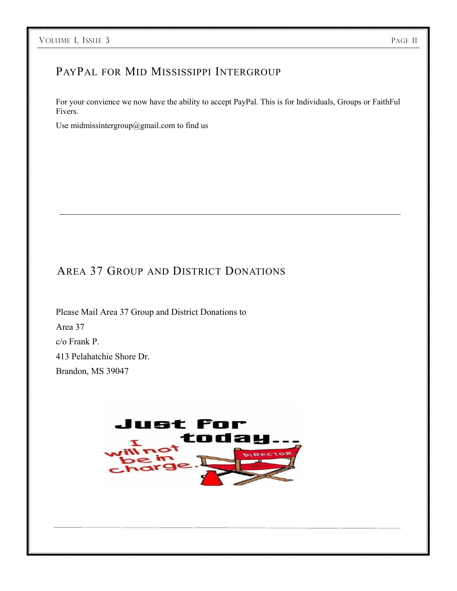# PAYPAL FOR MID MISSISSIPPI INTERGROUP

For your convience we now have the ability to accept PayPal. This is for Individuals, Groups or FaithFul Fivers.

Use midmissintergroup@gmail.com to find us

# AREA 37 GROUP AND DISTRICT DONATIONS

Please Mail Area 37 Group and District Donations to Area 37 c/o Frank P. 413 Pelahatchie Shore Dr. Brandon, MS 39047